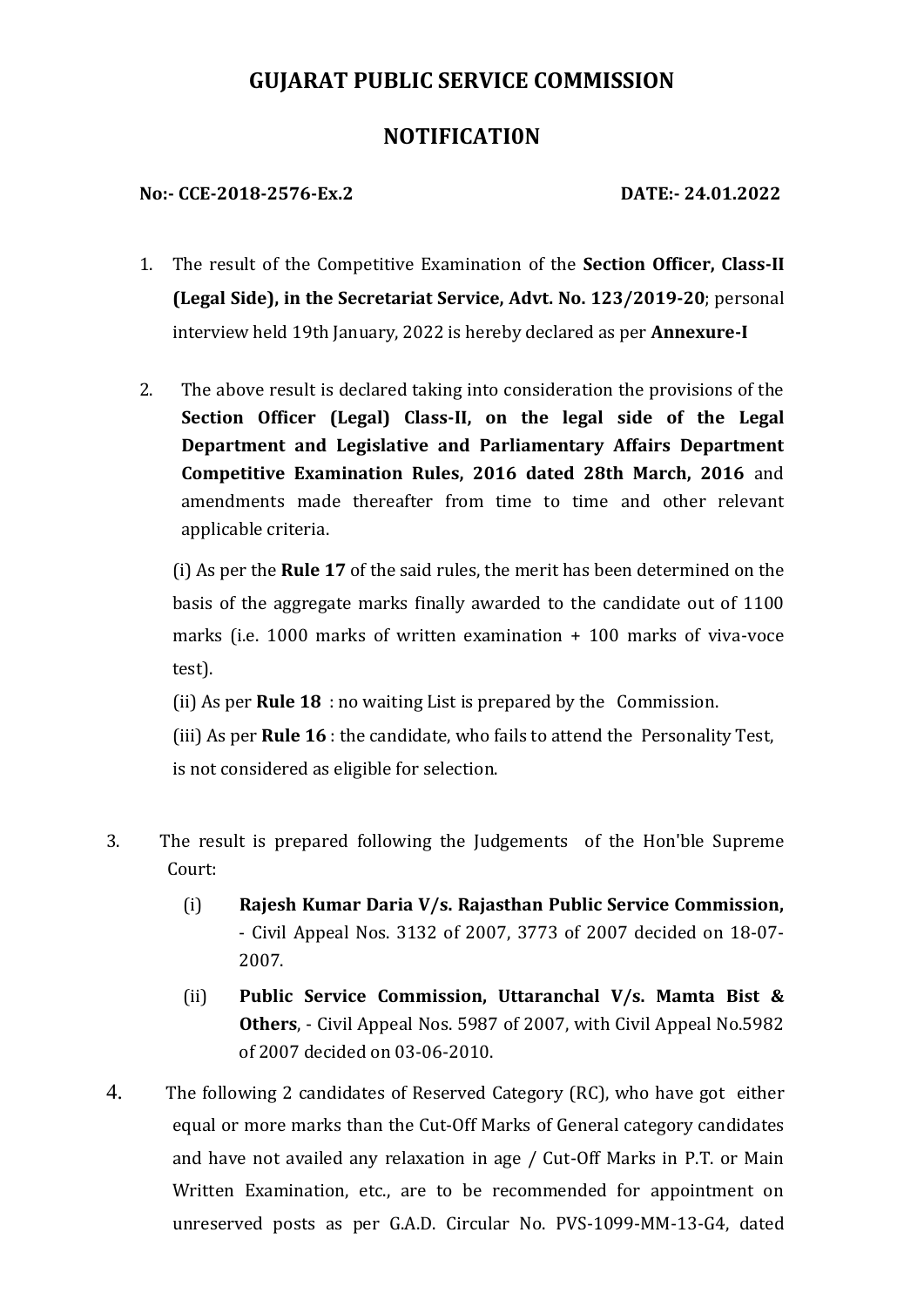## **GUJARAT PUBLIC SERVICE COMMISSION**

## **NOTIFICATI0N**

#### **No:- CCE-2018-2576-Ex.2 DATE:- 24.01.2022**

- 1. The result of the Competitive Examination of the **Section Officer, Class-II (Legal Side), in the Secretariat Service, Advt. No. 123/2019-20**; personal interview held 19th January, 2022 is hereby declared as per **Annexure-I**
- 2. The above result is declared taking into consideration the provisions of the **Section Officer (Legal) Class-II, on the legal side of the Legal Department and Legislative and Parliamentary Affairs Department Competitive Examination Rules, 2016 dated 28th March, 2016** and amendments made thereafter from time to time and other relevant applicable criteria.

(i) As per the **Rule 17** of the said rules, the merit has been determined on the basis of the aggregate marks finally awarded to the candidate out of 1100 marks (i.e. 1000 marks of written examination + 100 marks of viva-voce test).

(ii) As per **Rule 18** : no waiting List is prepared by the Commission.

(iii) As per **Rule 16** : the candidate, who fails to attend the Personality Test, is not considered as eligible for selection.

- 3. The result is prepared following the Judgements of the Hon'ble Supreme Court:
	- (i) **Rajesh Kumar Daria V/s. Rajasthan Public Service Commission,** - Civil Appeal Nos. 3132 of 2007, 3773 of 2007 decided on 18-07- 2007.
	- (ii) **Public Service Commission, Uttaranchal V/s. Mamta Bist & Others**, - Civil Appeal Nos. 5987 of 2007, with Civil Appeal No.5982 of 2007 decided on 03-06-2010.
- 4. The following 2 candidates of Reserved Category (RC), who have got either equal or more marks than the Cut-Off Marks of General category candidates and have not availed any relaxation in age / Cut-Off Marks in P.T. or Main Written Examination, etc., are to be recommended for appointment on unreserved posts as per G.A.D. Circular No. PVS-1099-MM-13-G4, dated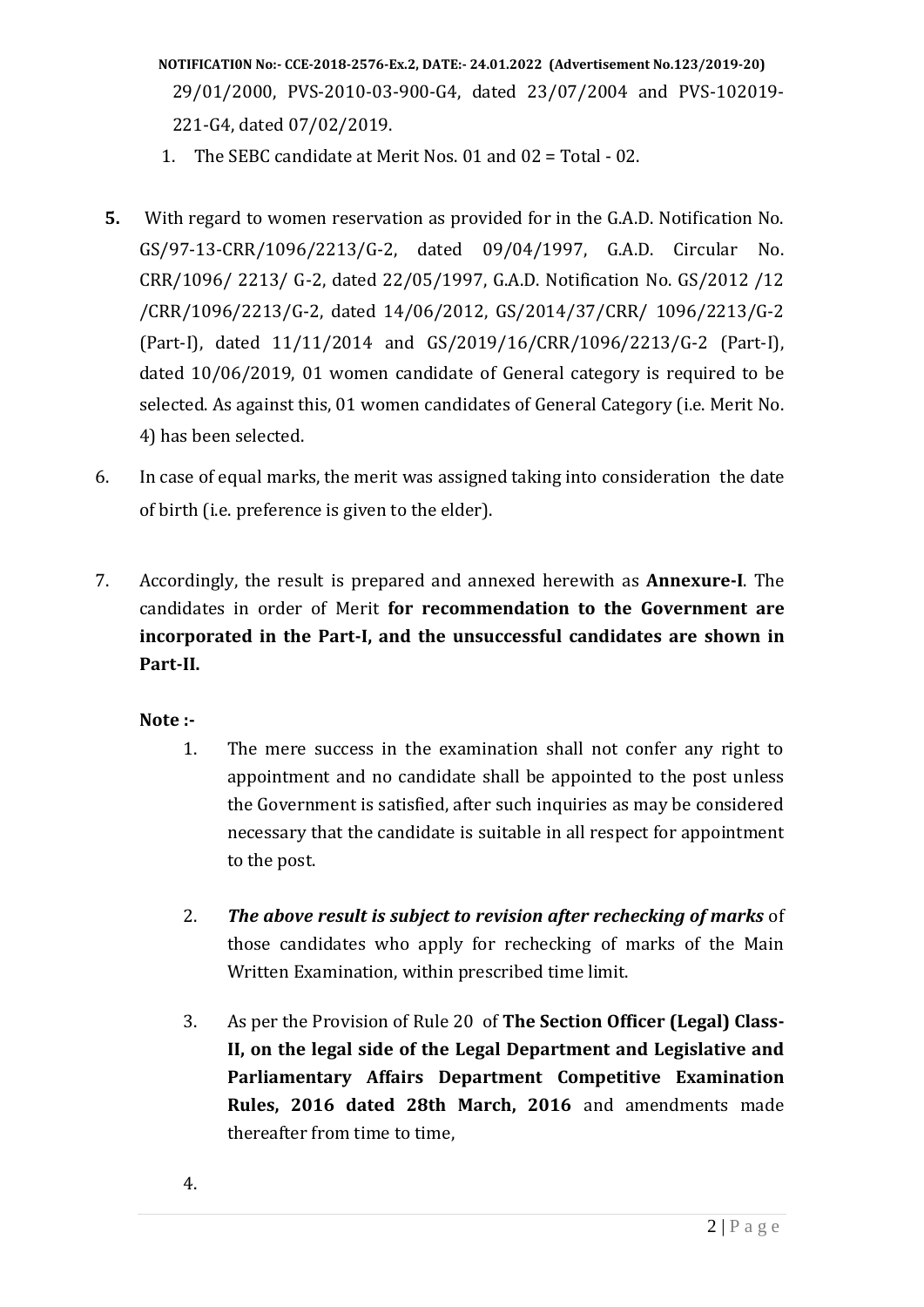- **NOTIFICATI0N No:- CCE-2018-2576-Ex.2, DATE:- 24.01.2022 (Advertisement No.123/2019-20)** 29/01/2000, PVS-2010-03-900-G4, dated 23/07/2004 and PVS-102019- 221-G4, dated 07/02/2019.
- 1. The SEBC candidate at Merit Nos. 01 and 02 = Total 02.
- **5.** With regard to women reservation as provided for in the G.A.D. Notification No. GS/97-13-CRR/1096/2213/G-2, dated 09/04/1997, G.A.D. Circular No. CRR/1096/ 2213/ G-2, dated 22/05/1997, G.A.D. Notification No. GS/2012 /12 /CRR/1096/2213/G-2, dated 14/06/2012, GS/2014/37/CRR/ 1096/2213/G-2 (Part-I), dated 11/11/2014 and GS/2019/16/CRR/1096/2213/G-2 (Part-I), dated 10/06/2019, 01 women candidate of General category is required to be selected. As against this, 01 women candidates of General Category (i.e. Merit No. 4) has been selected.
- 6. In case of equal marks, the merit was assigned taking into consideration the date of birth (i.e. preference is given to the elder).
- 7. Accordingly, the result is prepared and annexed herewith as **Annexure-I**. The candidates in order of Merit **for recommendation to the Government are incorporated in the Part-I, and the unsuccessful candidates are shown in Part-II.**

#### **Note :-**

- 1. The mere success in the examination shall not confer any right to appointment and no candidate shall be appointed to the post unless the Government is satisfied, after such inquiries as may be considered necessary that the candidate is suitable in all respect for appointment to the post.
- 2. *The above result is subject to revision after rechecking of marks* of those candidates who apply for rechecking of marks of the Main Written Examination, within prescribed time limit.
- 3. As per the Provision of Rule 20 of **The Section Officer (Legal) Class-II, on the legal side of the Legal Department and Legislative and Parliamentary Affairs Department Competitive Examination Rules, 2016 dated 28th March, 2016** and amendments made thereafter from time to time,

4.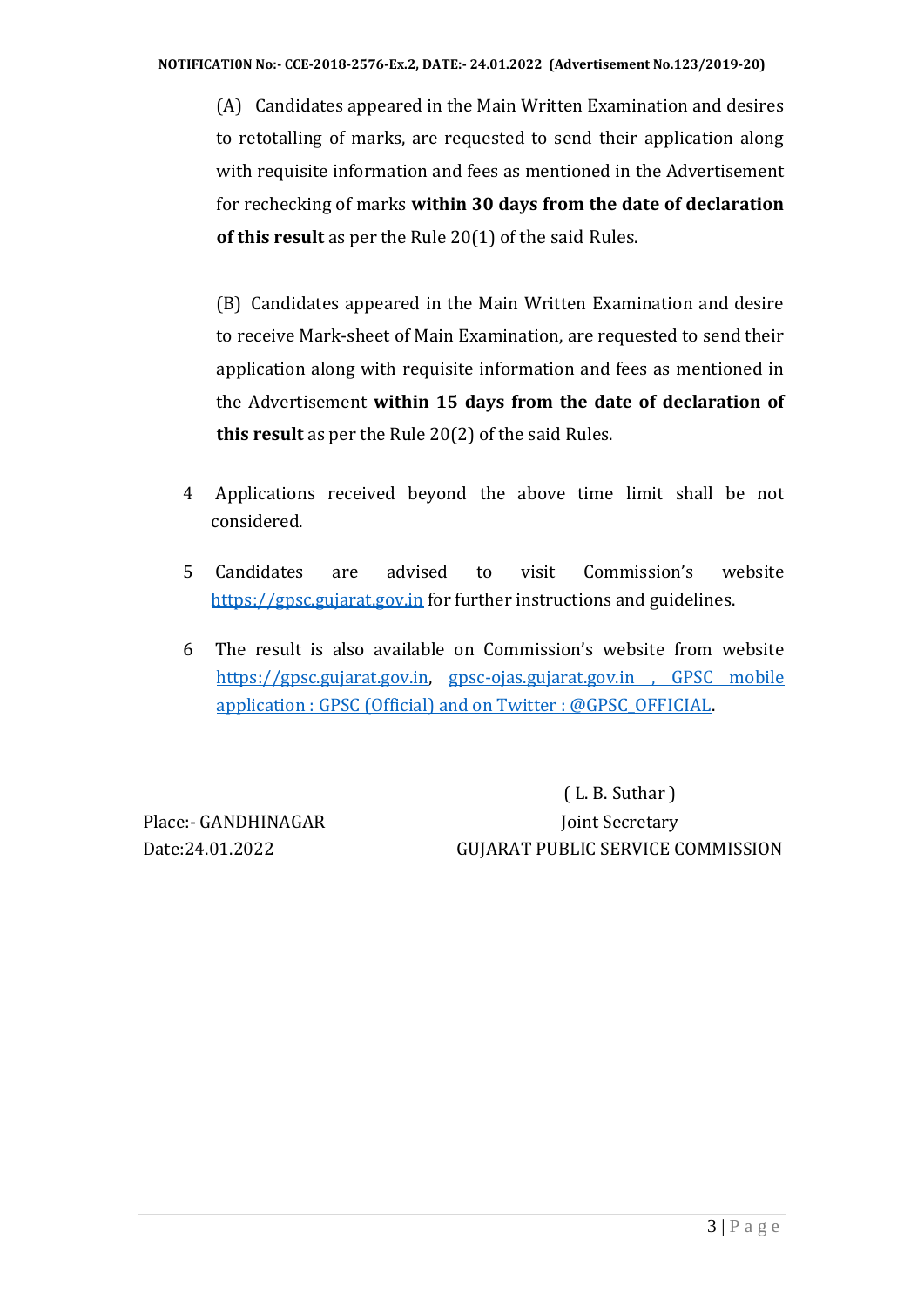(A) Candidates appeared in the Main Written Examination and desires to retotalling of marks, are requested to send their application along with requisite information and fees as mentioned in the Advertisement for rechecking of marks **within 30 days from the date of declaration of this result** as per the Rule 20(1) of the said Rules.

(B) Candidates appeared in the Main Written Examination and desire to receive Mark-sheet of Main Examination, are requested to send their application along with requisite information and fees as mentioned in the Advertisement **within 15 days from the date of declaration of this result** as per the Rule 20(2) of the said Rules.

- 4 Applications received beyond the above time limit shall be not considered.
- 5 Candidates are advised to visit Commission's website [https://gpsc.gujarat.gov.in](https://gpsc.gujarat.gov.in/) for further instructions and guidelines.
- 6 The result is also available on Commission's website from website [https://gpsc.gujarat.gov.in,](https://gpsc.gujarat.gov.in/) gpsc-ojas.gujarat.gov.in , GPSC mobile application : GPSC (Official) and on Twitter : @GPSC\_OFFICIAL.

( L. B. Suthar ) Place:- GANDHINAGAR Joint Secretary Date:24.01.2022 GUJARAT PUBLIC SERVICE COMMISSION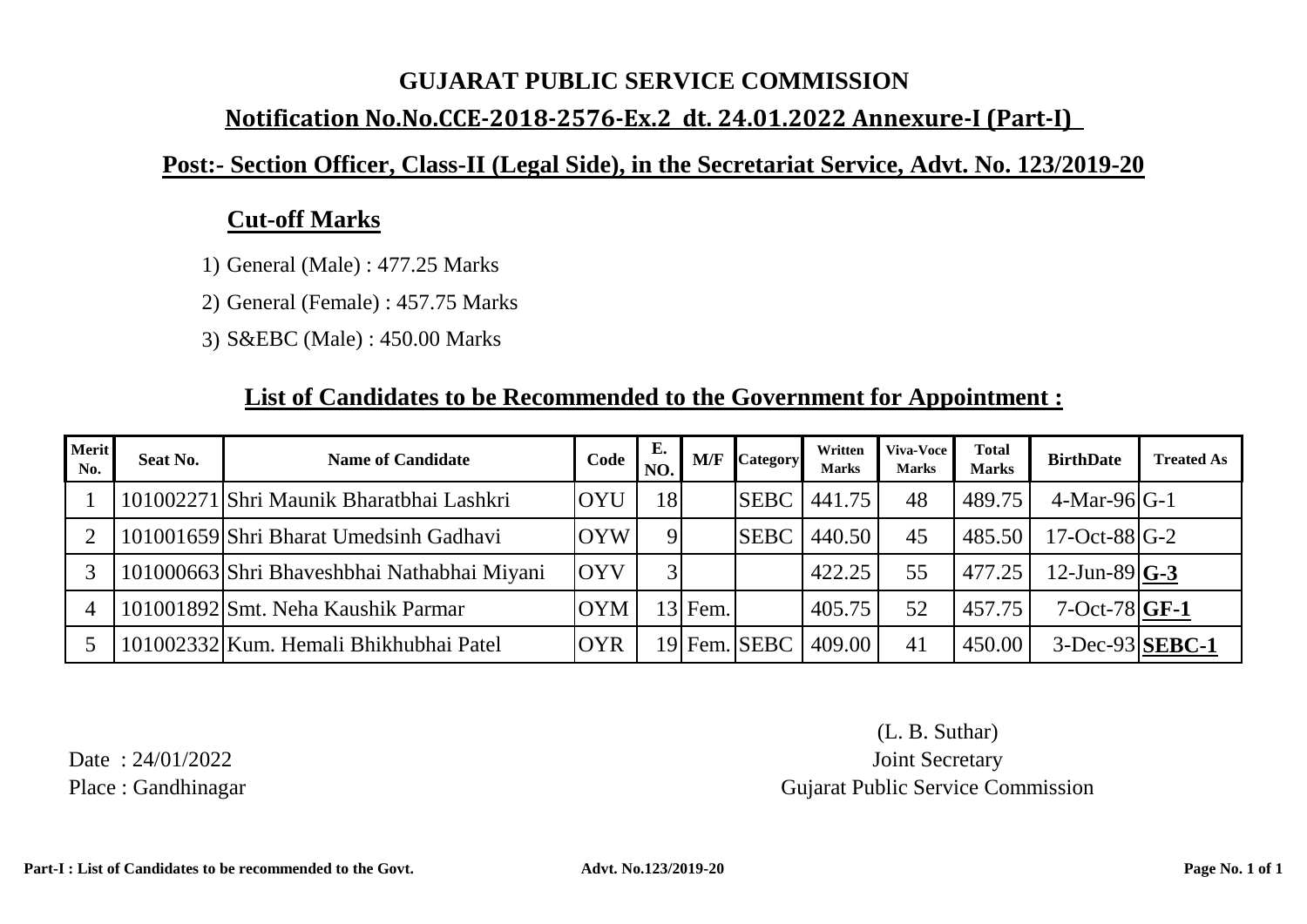# **GUJARAT PUBLIC SERVICE COMMISSION**

# **Notification No.No.CCE-2018-2576-Ex.2 dt. 24.01.2022 Annexure-I (Part-I)**

# **Post:- Section Officer, Class-II (Legal Side), in the Secretariat Service, Advt. No. 123/2019-20**

## **Cut-off Marks**

- 1) General (Male) : 477.25 Marks
- 2) General (Female) : 457.75 Marks
- 3) S&EBC (Male) : 450.00 Marks

### **List of Candidates to be Recommended to the Government for Appointment :**

| Merit<br>No. | Seat No. | <b>Name of Candidate</b>                    | Code       | Е.<br>NO.    | M/F       | <b>Category</b> | Written<br><b>Marks</b> | Viva-Voce<br><b>Marks</b> | <b>Total</b><br><b>Marks</b> | <b>BirthDate</b>              | <b>Treated As</b> |
|--------------|----------|---------------------------------------------|------------|--------------|-----------|-----------------|-------------------------|---------------------------|------------------------------|-------------------------------|-------------------|
|              |          | 101002271 Shri Maunik Bharatbhai Lashkri    | OYU        | 18           |           | <b>SEBC</b>     | 441.75                  | 48                        | 489.75                       | 4-Mar-96 $ G-1 $              |                   |
|              |          | 101001659 Shri Bharat Umedsinh Gadhavi      | <b>OYW</b> | 9            |           | <b>SEBC</b>     | 440.50                  | 45                        | 485.50                       | 17-Oct-88 $ G-2 $             |                   |
|              |          | 101000663 Shri Bhaveshbhai Nathabhai Miyani | <b>OYV</b> | $\mathbf{c}$ |           |                 | 422.25                  | 55                        | 477.25                       | 12-Jun-89 $G-3$               |                   |
| 4            |          | 101001892 Smt. Neha Kaushik Parmar          | <b>OYM</b> |              | $13$ Fem. |                 | 405.75                  | 52                        | 457.75                       | 7-Oct-78 $\sqrt{\text{GF-1}}$ |                   |
|              |          | 101002332 Kum. Hemali Bhikhubhai Patel      | <b>OYR</b> |              |           | 19 Fem. SEBC    | 409.00                  | 41                        | 450.00                       | $3-Dec-93$ SEBC-1             |                   |

Place : Gandhinagar Date : 24/01/2022

(L. B. Suthar) Joint Secretary Gujarat Public Service Commission